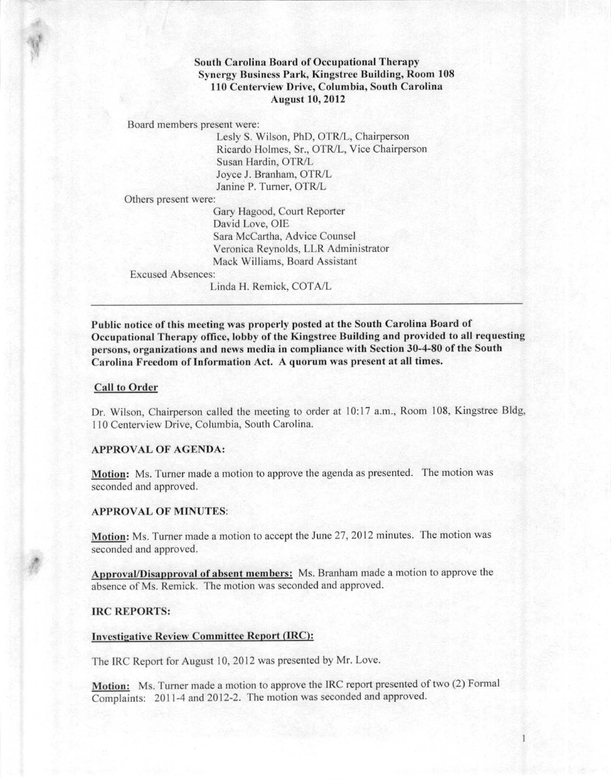# South Carolina Board of Occupational Therapy **Synergy Business Park, Kingstree Building, Room 108** 110 Centerview Drive, Columbia, South Carolina August 10,2012

Board members present were:

Lesly S. Wilson, PhD, OTR/L, Chairperson Ricardo Holmes, Sr., OTR/L, Vice Chairperson Susan Hardin, OTR/L Joyce J. Branham, OTR/L Janine P. Turner, OTR/L

Others present were:

Gary Hagood, Court Reporter David Love, OlE Sara McCartha, Advice Counsel Veronica Reynolds, LLR Administrator Mack Williams, Board Assistant

Excused Absences:

Linda H, Remick, COTAIL

Public notice of this meeting was properly posted at the South Carolina Board of Occupational Thcrapy officc, lobby of the Kingstree Building and provided to all requesting persons, organizations and news media in compliance with Section 30-4-80 of the South **Carolina Freedom of Information Act. A quorum was present at all times.**

## Call to Order

Dr. Wilson, Chairperson called the meeting to order at 10:17 a.m., Room 108, Kingstree Bldg, 110 Centerview Drive, Columbia, South Carolina,

### APPROVAL OF AGENDA:

Motion: Ms, Turner made a motion to approve the agenda as presented, The motion was seconded and approved.

### APPROVAL OF MINUTES:

Motion: Ms, Turner made a motion to accept the June 27, 2012 minutes, The motion was seconded and approved,

Approval/Disapproval of absent members: Ms. Branham made a motion to approve the absence of Ms, Remick. The motion was seconded and approved,

## **IRC REPORTS:**

#### Investigative Review Committee Report (IRC):

The IRC Report for August 10, 2012 was presented by Mr. Love.

Motion: Ms. Turner made a motion to approve the IRC report presented of two (2) Formal Complaints: 2011-4 and 2012-2, The motion was seconded and approved,